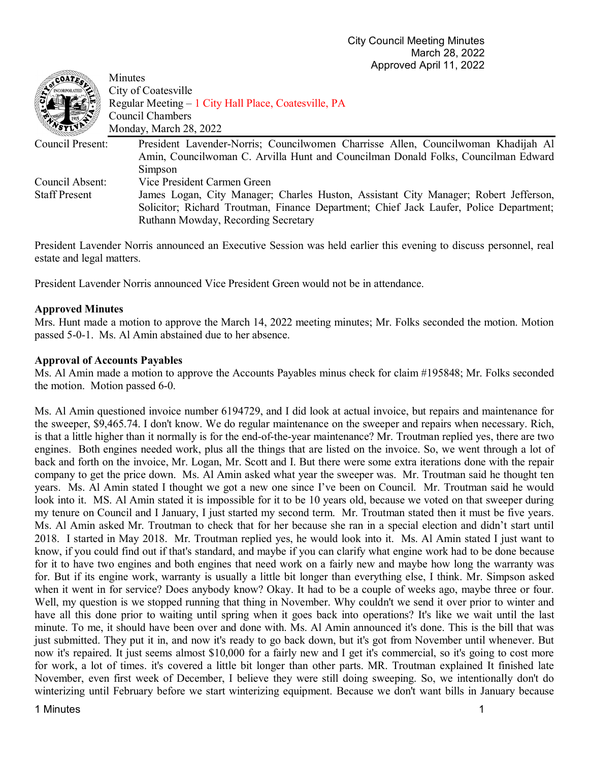| COATE.               | Minutes                                                                                |
|----------------------|----------------------------------------------------------------------------------------|
|                      | City of Coatesville                                                                    |
|                      | Regular Meeting – 1 City Hall Place, Coatesville, PA                                   |
|                      | Council Chambers                                                                       |
|                      | Monday, March 28, 2022                                                                 |
| Council Present:     | President Lavender-Norris; Councilwomen Charrisse Allen, Councilwoman Khadijah Al      |
|                      | Amin, Councilwoman C. Arvilla Hunt and Councilman Donald Folks, Councilman Edward      |
|                      | Simpson                                                                                |
| Council Absent:      | Vice President Carmen Green                                                            |
| <b>Staff Present</b> | James Logan, City Manager; Charles Huston, Assistant City Manager; Robert Jefferson,   |
|                      | Solicitor; Richard Troutman, Finance Department; Chief Jack Laufer, Police Department; |
|                      | Ruthann Mowday, Recording Secretary                                                    |
|                      |                                                                                        |

President Lavender Norris announced an Executive Session was held earlier this evening to discuss personnel, real estate and legal matters.

President Lavender Norris announced Vice President Green would not be in attendance.

# **Approved Minutes**

 $\mathcal{P}^{\text{SMD}}$ 

Mrs. Hunt made a motion to approve the March 14, 2022 meeting minutes; Mr. Folks seconded the motion. Motion passed 5-0-1. Ms. Al Amin abstained due to her absence.

### **Approval of Accounts Payables**

Ms. Al Amin made a motion to approve the Accounts Payables minus check for claim #195848; Mr. Folks seconded the motion. Motion passed 6-0.

Ms. Al Amin questioned invoice number 6194729, and I did look at actual invoice, but repairs and maintenance for the sweeper, \$9,465.74. I don't know. We do regular maintenance on the sweeper and repairs when necessary. Rich, is that a little higher than it normally is for the end-of-the-year maintenance? Mr. Troutman replied yes, there are two engines. Both engines needed work, plus all the things that are listed on the invoice. So, we went through a lot of back and forth on the invoice, Mr. Logan, Mr. Scott and I. But there were some extra iterations done with the repair company to get the price down. Ms. Al Amin asked what year the sweeper was. Mr. Troutman said he thought ten years. Ms. Al Amin stated I thought we got a new one since I've been on Council. Mr. Troutman said he would look into it. MS. Al Amin stated it is impossible for it to be 10 years old, because we voted on that sweeper during my tenure on Council and I January, I just started my second term. Mr. Troutman stated then it must be five years. Ms. Al Amin asked Mr. Troutman to check that for her because she ran in a special election and didn't start until 2018. I started in May 2018. Mr. Troutman replied yes, he would look into it. Ms. Al Amin stated I just want to know, if you could find out if that's standard, and maybe if you can clarify what engine work had to be done because for it to have two engines and both engines that need work on a fairly new and maybe how long the warranty was for. But if its engine work, warranty is usually a little bit longer than everything else, I think. Mr. Simpson asked when it went in for service? Does anybody know? Okay. It had to be a couple of weeks ago, maybe three or four. Well, my question is we stopped running that thing in November. Why couldn't we send it over prior to winter and have all this done prior to waiting until spring when it goes back into operations? It's like we wait until the last minute. To me, it should have been over and done with. Ms. Al Amin announced it's done. This is the bill that was just submitted. They put it in, and now it's ready to go back down, but it's got from November until whenever. But now it's repaired. It just seems almost \$10,000 for a fairly new and I get it's commercial, so it's going to cost more for work, a lot of times. it's covered a little bit longer than other parts. MR. Troutman explained It finished late November, even first week of December, I believe they were still doing sweeping. So, we intentionally don't do winterizing until February before we start winterizing equipment. Because we don't want bills in January because

### 1 Minutes 1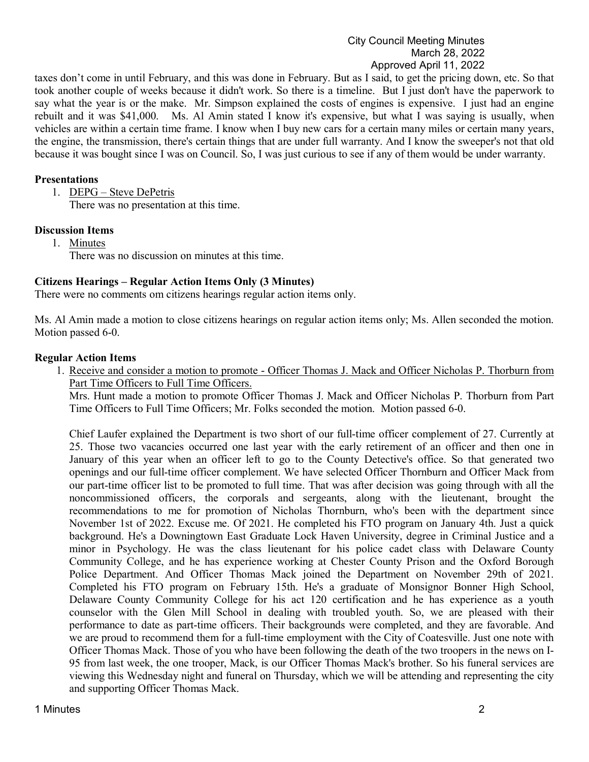### City Council Meeting Minutes March 28, 2022 Approved April 11, 2022

taxes don't come in until February, and this was done in February. But as I said, to get the pricing down, etc. So that took another couple of weeks because it didn't work. So there is a timeline. But I just don't have the paperwork to say what the year is or the make. Mr. Simpson explained the costs of engines is expensive. I just had an engine rebuilt and it was \$41,000. Ms. Al Amin stated I know it's expensive, but what I was saying is usually, when vehicles are within a certain time frame. I know when I buy new cars for a certain many miles or certain many years, the engine, the transmission, there's certain things that are under full warranty. And I know the sweeper's not that old because it was bought since I was on Council. So, I was just curious to see if any of them would be under warranty.

# **Presentations**

1. DEPG – Steve DePetris There was no presentation at this time.

# **Discussion Items**

1. Minutes

There was no discussion on minutes at this time.

# **Citizens Hearings – Regular Action Items Only (3 Minutes)**

There were no comments om citizens hearings regular action items only.

Ms. Al Amin made a motion to close citizens hearings on regular action items only; Ms. Allen seconded the motion. Motion passed 6-0.

# **Regular Action Items**

1. Receive and consider a motion to promote - Officer Thomas J. Mack and Officer Nicholas P. Thorburn from Part Time Officers to Full Time Officers.

Mrs. Hunt made a motion to promote Officer Thomas J. Mack and Officer Nicholas P. Thorburn from Part Time Officers to Full Time Officers; Mr. Folks seconded the motion. Motion passed 6-0.

Chief Laufer explained the Department is two short of our full-time officer complement of 27. Currently at 25. Those two vacancies occurred one last year with the early retirement of an officer and then one in January of this year when an officer left to go to the County Detective's office. So that generated two openings and our full-time officer complement. We have selected Officer Thornburn and Officer Mack from our part-time officer list to be promoted to full time. That was after decision was going through with all the noncommissioned officers, the corporals and sergeants, along with the lieutenant, brought the recommendations to me for promotion of Nicholas Thornburn, who's been with the department since November 1st of 2022. Excuse me. Of 2021. He completed his FTO program on January 4th. Just a quick background. He's a Downingtown East Graduate Lock Haven University, degree in Criminal Justice and a minor in Psychology. He was the class lieutenant for his police cadet class with Delaware County Community College, and he has experience working at Chester County Prison and the Oxford Borough Police Department. And Officer Thomas Mack joined the Department on November 29th of 2021. Completed his FTO program on February 15th. He's a graduate of Monsignor Bonner High School, Delaware County Community College for his act 120 certification and he has experience as a youth counselor with the Glen Mill School in dealing with troubled youth. So, we are pleased with their performance to date as part-time officers. Their backgrounds were completed, and they are favorable. And we are proud to recommend them for a full-time employment with the City of Coatesville. Just one note with Officer Thomas Mack. Those of you who have been following the death of the two troopers in the news on I-95 from last week, the one trooper, Mack, is our Officer Thomas Mack's brother. So his funeral services are viewing this Wednesday night and funeral on Thursday, which we will be attending and representing the city and supporting Officer Thomas Mack.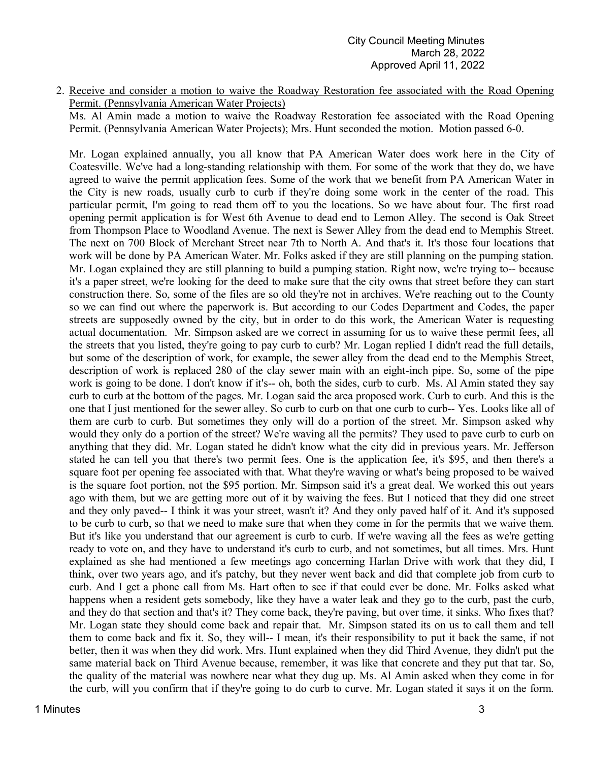2. Receive and consider a motion to waive the Roadway Restoration fee associated with the Road Opening Permit. (Pennsylvania American Water Projects)

Ms. Al Amin made a motion to waive the Roadway Restoration fee associated with the Road Opening Permit. (Pennsylvania American Water Projects); Mrs. Hunt seconded the motion. Motion passed 6-0.

Mr. Logan explained annually, you all know that PA American Water does work here in the City of Coatesville. We've had a long-standing relationship with them. For some of the work that they do, we have agreed to waive the permit application fees. Some of the work that we benefit from PA American Water in the City is new roads, usually curb to curb if they're doing some work in the center of the road. This particular permit, I'm going to read them off to you the locations. So we have about four. The first road opening permit application is for West 6th Avenue to dead end to Lemon Alley. The second is Oak Street from Thompson Place to Woodland Avenue. The next is Sewer Alley from the dead end to Memphis Street. The next on 700 Block of Merchant Street near 7th to North A. And that's it. It's those four locations that work will be done by PA American Water. Mr. Folks asked if they are still planning on the pumping station. Mr. Logan explained they are still planning to build a pumping station. Right now, we're trying to-- because it's a paper street, we're looking for the deed to make sure that the city owns that street before they can start construction there. So, some of the files are so old they're not in archives. We're reaching out to the County so we can find out where the paperwork is. But according to our Codes Department and Codes, the paper streets are supposedly owned by the city, but in order to do this work, the American Water is requesting actual documentation. Mr. Simpson asked are we correct in assuming for us to waive these permit fees, all the streets that you listed, they're going to pay curb to curb? Mr. Logan replied I didn't read the full details, but some of the description of work, for example, the sewer alley from the dead end to the Memphis Street, description of work is replaced 280 of the clay sewer main with an eight-inch pipe. So, some of the pipe work is going to be done. I don't know if it's-- oh, both the sides, curb to curb. Ms. Al Amin stated they say curb to curb at the bottom of the pages. Mr. Logan said the area proposed work. Curb to curb. And this is the one that I just mentioned for the sewer alley. So curb to curb on that one curb to curb-- Yes. Looks like all of them are curb to curb. But sometimes they only will do a portion of the street. Mr. Simpson asked why would they only do a portion of the street? We're waving all the permits? They used to pave curb to curb on anything that they did. Mr. Logan stated he didn't know what the city did in previous years. Mr. Jefferson stated he can tell you that there's two permit fees. One is the application fee, it's \$95, and then there's a square foot per opening fee associated with that. What they're waving or what's being proposed to be waived is the square foot portion, not the \$95 portion. Mr. Simpson said it's a great deal. We worked this out years ago with them, but we are getting more out of it by waiving the fees. But I noticed that they did one street and they only paved-- I think it was your street, wasn't it? And they only paved half of it. And it's supposed to be curb to curb, so that we need to make sure that when they come in for the permits that we waive them. But it's like you understand that our agreement is curb to curb. If we're waving all the fees as we're getting ready to vote on, and they have to understand it's curb to curb, and not sometimes, but all times. Mrs. Hunt explained as she had mentioned a few meetings ago concerning Harlan Drive with work that they did, I think, over two years ago, and it's patchy, but they never went back and did that complete job from curb to curb. And I get a phone call from Ms. Hart often to see if that could ever be done. Mr. Folks asked what happens when a resident gets somebody, like they have a water leak and they go to the curb, past the curb, and they do that section and that's it? They come back, they're paving, but over time, it sinks. Who fixes that? Mr. Logan state they should come back and repair that. Mr. Simpson stated its on us to call them and tell them to come back and fix it. So, they will-- I mean, it's their responsibility to put it back the same, if not better, then it was when they did work. Mrs. Hunt explained when they did Third Avenue, they didn't put the same material back on Third Avenue because, remember, it was like that concrete and they put that tar. So, the quality of the material was nowhere near what they dug up. Ms. Al Amin asked when they come in for the curb, will you confirm that if they're going to do curb to curve. Mr. Logan stated it says it on the form.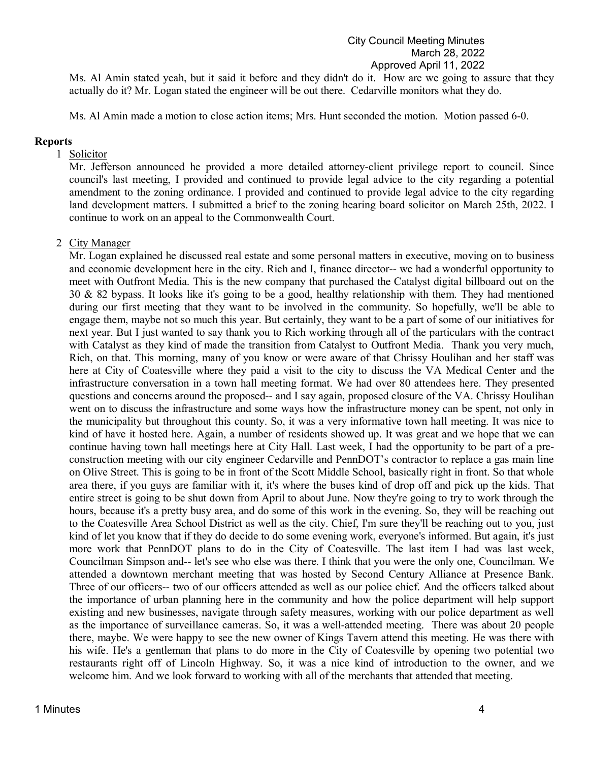## City Council Meeting Minutes March 28, 2022 Approved April 11, 2022

Ms. Al Amin stated yeah, but it said it before and they didn't do it. How are we going to assure that they actually do it? Mr. Logan stated the engineer will be out there. Cedarville monitors what they do.

Ms. Al Amin made a motion to close action items; Mrs. Hunt seconded the motion. Motion passed 6-0.

#### **Reports**

#### 1 Solicitor

Mr. Jefferson announced he provided a more detailed attorney-client privilege report to council. Since council's last meeting, I provided and continued to provide legal advice to the city regarding a potential amendment to the zoning ordinance. I provided and continued to provide legal advice to the city regarding land development matters. I submitted a brief to the zoning hearing board solicitor on March 25th, 2022. I continue to work on an appeal to the Commonwealth Court.

### 2 City Manager

Mr. Logan explained he discussed real estate and some personal matters in executive, moving on to business and economic development here in the city. Rich and I, finance director-- we had a wonderful opportunity to meet with Outfront Media. This is the new company that purchased the Catalyst digital billboard out on the 30 & 82 bypass. It looks like it's going to be a good, healthy relationship with them. They had mentioned during our first meeting that they want to be involved in the community. So hopefully, we'll be able to engage them, maybe not so much this year. But certainly, they want to be a part of some of our initiatives for next year. But I just wanted to say thank you to Rich working through all of the particulars with the contract with Catalyst as they kind of made the transition from Catalyst to Outfront Media. Thank you very much, Rich, on that. This morning, many of you know or were aware of that Chrissy Houlihan and her staff was here at City of Coatesville where they paid a visit to the city to discuss the VA Medical Center and the infrastructure conversation in a town hall meeting format. We had over 80 attendees here. They presented questions and concerns around the proposed-- and I say again, proposed closure of the VA. Chrissy Houlihan went on to discuss the infrastructure and some ways how the infrastructure money can be spent, not only in the municipality but throughout this county. So, it was a very informative town hall meeting. It was nice to kind of have it hosted here. Again, a number of residents showed up. It was great and we hope that we can continue having town hall meetings here at City Hall. Last week, I had the opportunity to be part of a preconstruction meeting with our city engineer Cedarville and PennDOT's contractor to replace a gas main line on Olive Street. This is going to be in front of the Scott Middle School, basically right in front. So that whole area there, if you guys are familiar with it, it's where the buses kind of drop off and pick up the kids. That entire street is going to be shut down from April to about June. Now they're going to try to work through the hours, because it's a pretty busy area, and do some of this work in the evening. So, they will be reaching out to the Coatesville Area School District as well as the city. Chief, I'm sure they'll be reaching out to you, just kind of let you know that if they do decide to do some evening work, everyone's informed. But again, it's just more work that PennDOT plans to do in the City of Coatesville. The last item I had was last week, Councilman Simpson and-- let's see who else was there. I think that you were the only one, Councilman. We attended a downtown merchant meeting that was hosted by Second Century Alliance at Presence Bank. Three of our officers-- two of our officers attended as well as our police chief. And the officers talked about the importance of urban planning here in the community and how the police department will help support existing and new businesses, navigate through safety measures, working with our police department as well as the importance of surveillance cameras. So, it was a well-attended meeting. There was about 20 people there, maybe. We were happy to see the new owner of Kings Tavern attend this meeting. He was there with his wife. He's a gentleman that plans to do more in the City of Coatesville by opening two potential two restaurants right off of Lincoln Highway. So, it was a nice kind of introduction to the owner, and we welcome him. And we look forward to working with all of the merchants that attended that meeting.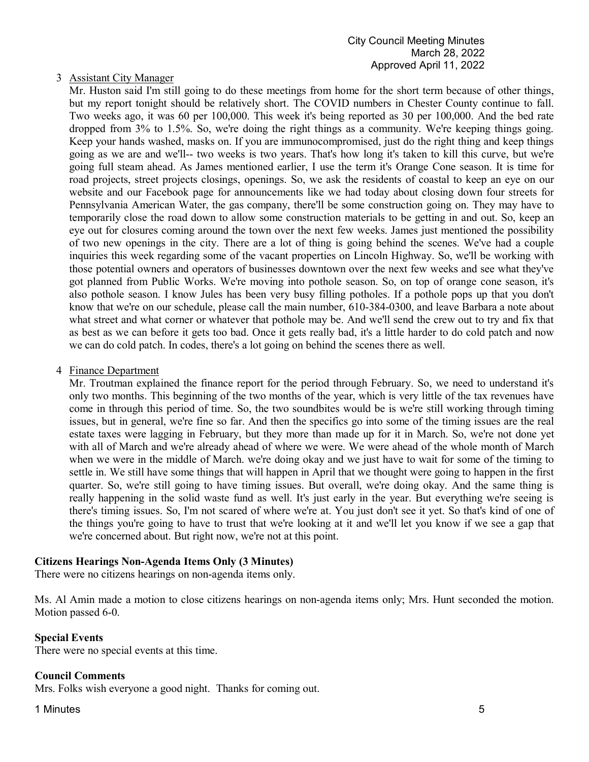# 3 Assistant City Manager

Mr. Huston said I'm still going to do these meetings from home for the short term because of other things, but my report tonight should be relatively short. The COVID numbers in Chester County continue to fall. Two weeks ago, it was 60 per 100,000. This week it's being reported as 30 per 100,000. And the bed rate dropped from 3% to 1.5%. So, we're doing the right things as a community. We're keeping things going. Keep your hands washed, masks on. If you are immunocompromised, just do the right thing and keep things going as we are and we'll-- two weeks is two years. That's how long it's taken to kill this curve, but we're going full steam ahead. As James mentioned earlier, I use the term it's Orange Cone season. It is time for road projects, street projects closings, openings. So, we ask the residents of coastal to keep an eye on our website and our Facebook page for announcements like we had today about closing down four streets for Pennsylvania American Water, the gas company, there'll be some construction going on. They may have to temporarily close the road down to allow some construction materials to be getting in and out. So, keep an eye out for closures coming around the town over the next few weeks. James just mentioned the possibility of two new openings in the city. There are a lot of thing is going behind the scenes. We've had a couple inquiries this week regarding some of the vacant properties on Lincoln Highway. So, we'll be working with those potential owners and operators of businesses downtown over the next few weeks and see what they've got planned from Public Works. We're moving into pothole season. So, on top of orange cone season, it's also pothole season. I know Jules has been very busy filling potholes. If a pothole pops up that you don't know that we're on our schedule, please call the main number, 610-384-0300, and leave Barbara a note about what street and what corner or whatever that pothole may be. And we'll send the crew out to try and fix that as best as we can before it gets too bad. Once it gets really bad, it's a little harder to do cold patch and now we can do cold patch. In codes, there's a lot going on behind the scenes there as well.

#### 4 Finance Department

Mr. Troutman explained the finance report for the period through February. So, we need to understand it's only two months. This beginning of the two months of the year, which is very little of the tax revenues have come in through this period of time. So, the two soundbites would be is we're still working through timing issues, but in general, we're fine so far. And then the specifics go into some of the timing issues are the real estate taxes were lagging in February, but they more than made up for it in March. So, we're not done yet with all of March and we're already ahead of where we were. We were ahead of the whole month of March when we were in the middle of March. we're doing okay and we just have to wait for some of the timing to settle in. We still have some things that will happen in April that we thought were going to happen in the first quarter. So, we're still going to have timing issues. But overall, we're doing okay. And the same thing is really happening in the solid waste fund as well. It's just early in the year. But everything we're seeing is there's timing issues. So, I'm not scared of where we're at. You just don't see it yet. So that's kind of one of the things you're going to have to trust that we're looking at it and we'll let you know if we see a gap that we're concerned about. But right now, we're not at this point.

#### **Citizens Hearings Non-Agenda Items Only (3 Minutes)**

There were no citizens hearings on non-agenda items only.

Ms. Al Amin made a motion to close citizens hearings on non-agenda items only; Mrs. Hunt seconded the motion. Motion passed 6-0.

#### **Special Events**

There were no special events at this time.

#### **Council Comments**

Mrs. Folks wish everyone a good night. Thanks for coming out.